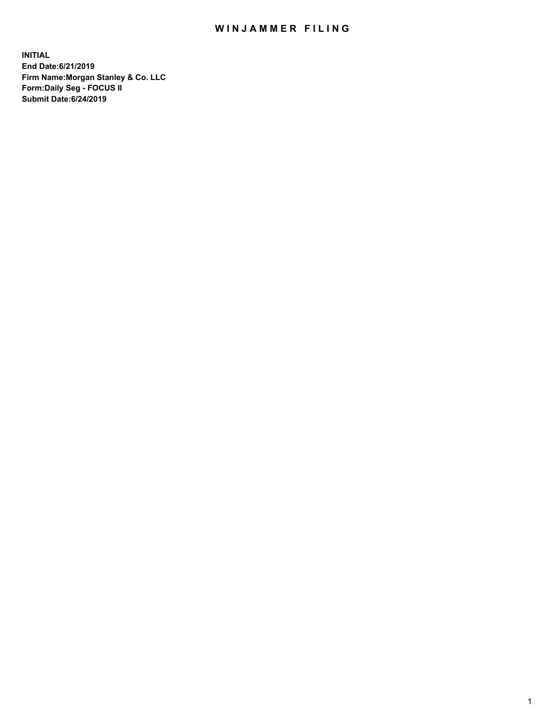## WIN JAMMER FILING

**INITIAL End Date:6/21/2019 Firm Name:Morgan Stanley & Co. LLC Form:Daily Seg - FOCUS II Submit Date:6/24/2019**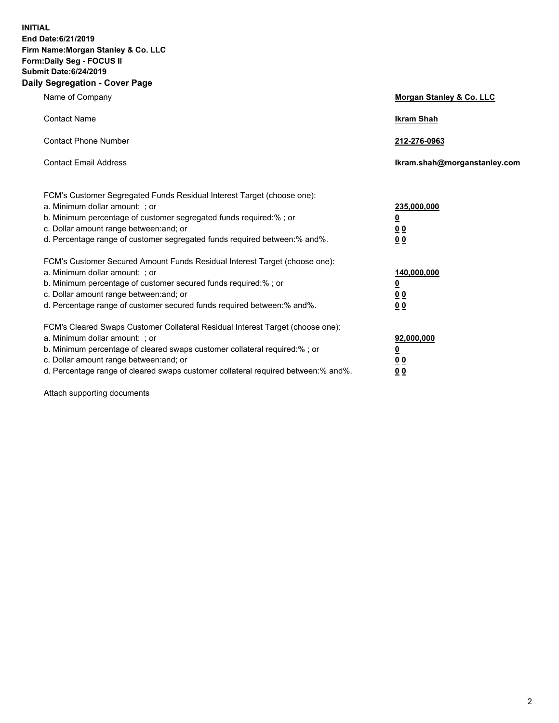**INITIAL End Date:6/21/2019 Firm Name:Morgan Stanley & Co. LLC Form:Daily Seg - FOCUS II Submit Date:6/24/2019 Daily Segregation - Cover Page**

| Name of Company                                                                   | Morgan Stanley & Co. LLC     |
|-----------------------------------------------------------------------------------|------------------------------|
| <b>Contact Name</b>                                                               | <b>Ikram Shah</b>            |
| <b>Contact Phone Number</b>                                                       | 212-276-0963                 |
| <b>Contact Email Address</b>                                                      | Ikram.shah@morganstanley.com |
| FCM's Customer Segregated Funds Residual Interest Target (choose one):            |                              |
| a. Minimum dollar amount: ; or                                                    | 235,000,000                  |
| b. Minimum percentage of customer segregated funds required:% ; or                | <u>0</u>                     |
| c. Dollar amount range between: and; or                                           | <u>0 0</u>                   |
| d. Percentage range of customer segregated funds required between: % and %.       | 00                           |
| FCM's Customer Secured Amount Funds Residual Interest Target (choose one):        |                              |
| a. Minimum dollar amount: ; or                                                    | 140,000,000                  |
| b. Minimum percentage of customer secured funds required:%; or                    | <u>0</u>                     |
| c. Dollar amount range between: and; or                                           | 0 <sub>0</sub>               |
| d. Percentage range of customer secured funds required between:% and%.            | 0 <sub>0</sub>               |
| FCM's Cleared Swaps Customer Collateral Residual Interest Target (choose one):    |                              |
| a. Minimum dollar amount: ; or                                                    | 92,000,000                   |
| b. Minimum percentage of cleared swaps customer collateral required:% ; or        | <u>0</u>                     |
| c. Dollar amount range between: and; or                                           | 0 Q                          |
| d. Percentage range of cleared swaps customer collateral required between:% and%. | 00                           |

Attach supporting documents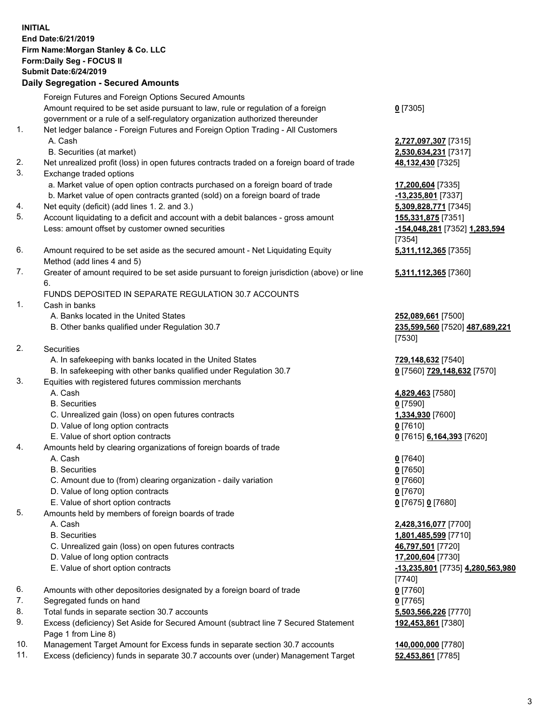## **INITIAL End Date:6/21/2019 Firm Name:Morgan Stanley & Co. LLC Form:Daily Seg - FOCUS II Submit Date:6/24/2019 Daily Segregation - Secured Amounts**

Foreign Futures and Foreign Options Secured Amounts Amount required to be set aside pursuant to law, rule or regulation of a foreign government or a rule of a self-regulatory organization authorized thereunder 1. Net ledger balance - Foreign Futures and Foreign Option Trading - All Customers A. Cash **2,727,097,307** [7315] B. Securities (at market) **2,530,634,231** [7317] 2. Net unrealized profit (loss) in open futures contracts traded on a foreign board of trade **48,132,430** [7325] 3. Exchange traded options a. Market value of open option contracts purchased on a foreign board of trade **17,200,604** [7335] b. Market value of open contracts granted (sold) on a foreign board of trade **-13,235,801** [7337] 4. Net equity (deficit) (add lines 1. 2. and 3.) **5,309,828,771** [7345] 5. Account liquidating to a deficit and account with a debit balances - gross amount **155,331,875** [7351] Less: amount offset by customer owned securities **-154,048,281** [7352] **1,283,594** 6. Amount required to be set aside as the secured amount - Net Liquidating Equity Method (add lines 4 and 5) 7. Greater of amount required to be set aside pursuant to foreign jurisdiction (above) or line 6.

## FUNDS DEPOSITED IN SEPARATE REGULATION 30.7 ACCOUNTS

- 1. Cash in banks
	- A. Banks located in the United States **252,089,661** [7500]
	- B. Other banks qualified under Regulation 30.7 **235,599,560** [7520] **487,689,221**
- 2. Securities
	- A. In safekeeping with banks located in the United States **729,148,632** [7540]
	- B. In safekeeping with other banks qualified under Regulation 30.7 **0** [7560] **729,148,632** [7570]
- 3. Equities with registered futures commission merchants
	-
	- B. Securities **0** [7590]
	- C. Unrealized gain (loss) on open futures contracts **1,334,930** [7600]
	- D. Value of long option contracts **0** [7610]
- E. Value of short option contracts **0** [7615] **6,164,393** [7620]
- 4. Amounts held by clearing organizations of foreign boards of trade
	- A. Cash **0** [7640]
	- B. Securities **0** [7650]
	- C. Amount due to (from) clearing organization daily variation **0** [7660]
	- D. Value of long option contracts **0** [7670]
	- E. Value of short option contracts **0** [7675] **0** [7680]
- 5. Amounts held by members of foreign boards of trade
	-
	-
	- C. Unrealized gain (loss) on open futures contracts **46,797,501** [7720]
	- D. Value of long option contracts **17,200,604** [7730]
	- E. Value of short option contracts **-13,235,801** [7735] **4,280,563,980**
- 6. Amounts with other depositories designated by a foreign board of trade **0** [7760]
- 7. Segregated funds on hand **0** [7765]
- 8. Total funds in separate section 30.7 accounts **5,503,566,226** [7770]
- 9. Excess (deficiency) Set Aside for Secured Amount (subtract line 7 Secured Statement Page 1 from Line 8)
- 10. Management Target Amount for Excess funds in separate section 30.7 accounts **140,000,000** [7780]
- 11. Excess (deficiency) funds in separate 30.7 accounts over (under) Management Target **52,453,861** [7785]

**0** [7305]

[7354] **5,311,112,365** [7355]

**5,311,112,365** [7360]

[7530]

A. Cash **4,829,463** [7580]

 A. Cash **2,428,316,077** [7700] B. Securities **1,801,485,599** [7710] [7740] **192,453,861** [7380]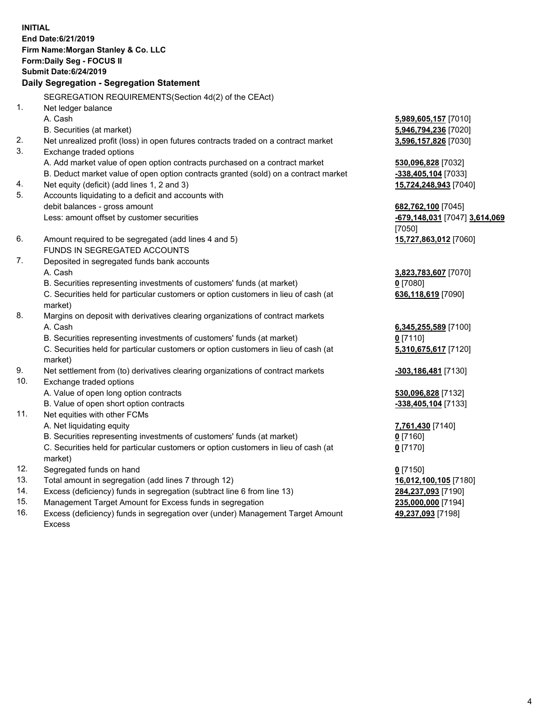**INITIAL End Date:6/21/2019 Firm Name:Morgan Stanley & Co. LLC Form:Daily Seg - FOCUS II Submit Date:6/24/2019 Daily Segregation - Segregation Statement** SEGREGATION REQUIREMENTS(Section 4d(2) of the CEAct) 1. Net ledger balance A. Cash **5,989,605,157** [7010] B. Securities (at market) **5,946,794,236** [7020] 2. Net unrealized profit (loss) in open futures contracts traded on a contract market **3,596,157,826** [7030] 3. Exchange traded options A. Add market value of open option contracts purchased on a contract market **530,096,828** [7032] B. Deduct market value of open option contracts granted (sold) on a contract market **-338,405,104** [7033] 4. Net equity (deficit) (add lines 1, 2 and 3) **15,724,248,943** [7040] 5. Accounts liquidating to a deficit and accounts with debit balances - gross amount **682,762,100** [7045] Less: amount offset by customer securities **-679,148,031** [7047] **3,614,069** [7050] 6. Amount required to be segregated (add lines 4 and 5) **15,727,863,012** [7060] FUNDS IN SEGREGATED ACCOUNTS 7. Deposited in segregated funds bank accounts A. Cash **3,823,783,607** [7070] B. Securities representing investments of customers' funds (at market) **0** [7080] C. Securities held for particular customers or option customers in lieu of cash (at market) **636,118,619** [7090] 8. Margins on deposit with derivatives clearing organizations of contract markets A. Cash **6,345,255,589** [7100] B. Securities representing investments of customers' funds (at market) **0** [7110] C. Securities held for particular customers or option customers in lieu of cash (at market) **5,310,675,617** [7120] 9. Net settlement from (to) derivatives clearing organizations of contract markets **-303,186,481** [7130] 10. Exchange traded options A. Value of open long option contracts **530,096,828** [7132] B. Value of open short option contracts **-338,405,104** [7133] 11. Net equities with other FCMs A. Net liquidating equity **7,761,430** [7140] B. Securities representing investments of customers' funds (at market) **0** [7160] C. Securities held for particular customers or option customers in lieu of cash (at market) **0** [7170] 12. Segregated funds on hand **0** [7150] 13. Total amount in segregation (add lines 7 through 12) **16,012,100,105** [7180] 14. Excess (deficiency) funds in segregation (subtract line 6 from line 13) **284,237,093** [7190]

- 15. Management Target Amount for Excess funds in segregation **235,000,000** [7194]
- 16. Excess (deficiency) funds in segregation over (under) Management Target Amount Excess

**49,237,093** [7198]